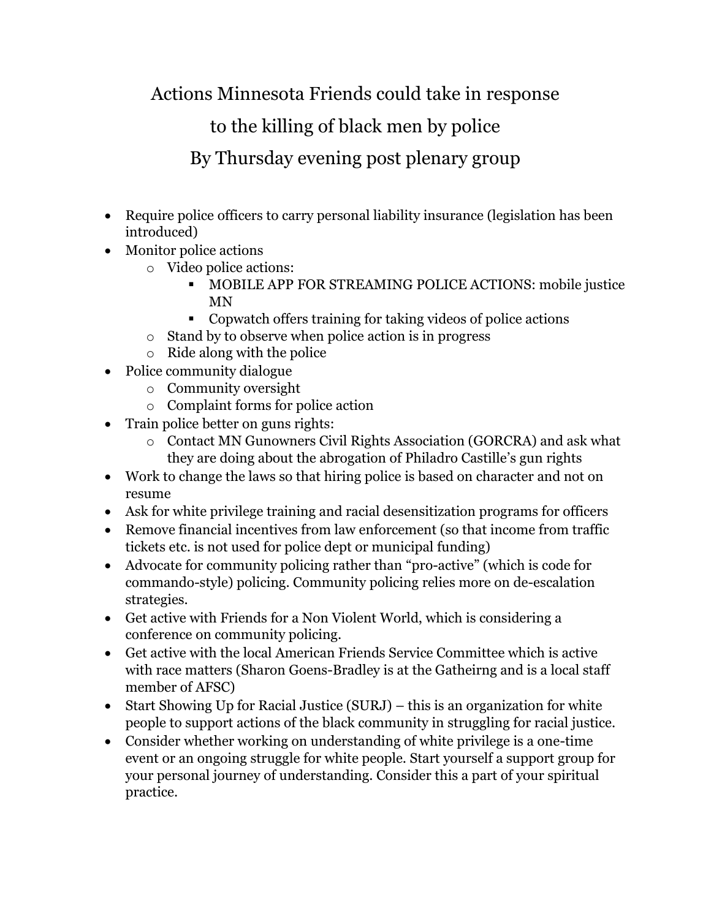Actions Minnesota Friends could take in response to the killing of black men by police By Thursday evening post plenary group

- Require police officers to carry personal liability insurance (legislation has been introduced)
- Monitor police actions
	- o Video police actions:
		- MOBILE APP FOR STREAMING POLICE ACTIONS: mobile justice MN
		- Copwatch offers training for taking videos of police actions
	- o Stand by to observe when police action is in progress
	- o Ride along with the police
- Police community dialogue
	- o Community oversight
	- o Complaint forms for police action
- Train police better on guns rights:
	- o Contact MN Gunowners Civil Rights Association (GORCRA) and ask what they are doing about the abrogation of Philadro Castille's gun rights
- Work to change the laws so that hiring police is based on character and not on resume
- Ask for white privilege training and racial desensitization programs for officers
- Remove financial incentives from law enforcement (so that income from traffic tickets etc. is not used for police dept or municipal funding)
- Advocate for community policing rather than "pro-active" (which is code for commando-style) policing. Community policing relies more on de-escalation strategies.
- Get active with Friends for a Non Violent World, which is considering a conference on community policing.
- Get active with the local American Friends Service Committee which is active with race matters (Sharon Goens-Bradley is at the Gatheirng and is a local staff member of AFSC)
- Start Showing Up for Racial Justice (SURJ) this is an organization for white people to support actions of the black community in struggling for racial justice.
- Consider whether working on understanding of white privilege is a one-time event or an ongoing struggle for white people. Start yourself a support group for your personal journey of understanding. Consider this a part of your spiritual practice.